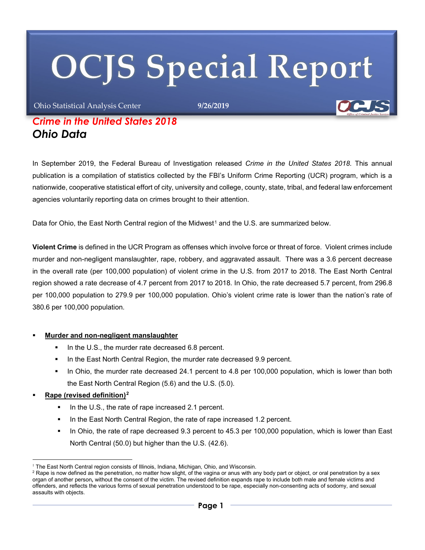# **OCJS Special Report**

Ohio Statistical Analysis Center **9/26/2019**

# *Crime in the United States 2018 Ohio Data*

In September 2019, the Federal Bureau of Investigation released *Crime in the United States 2018.* This annual publication is a compilation of statistics collected by the FBI's Uniform Crime Reporting (UCR) program, which is a nationwide, cooperative statistical effort of city, university and college, county, state, tribal, and federal law enforcement agencies voluntarily reporting data on crimes brought to their attention.

Data for Ohio, the East North Central region of the Midwest<sup>[1](#page-0-0)</sup> and the U.S. are summarized below.

**Violent Crime** is defined in the UCR Program as offenses which involve force or threat of force. Violent crimes include murder and non-negligent manslaughter, rape, robbery, and aggravated assault. There was a 3.6 percent decrease in the overall rate (per 100,000 population) of violent crime in the U.S. from 2017 to 2018. The East North Central region showed a rate decrease of 4.7 percent from 2017 to 2018. In Ohio, the rate decreased 5.7 percent, from 296.8 per 100,000 population to 279.9 per 100,000 population. Ohio's violent crime rate is lower than the nation's rate of 380.6 per 100,000 population.

#### **Murder and non-negligent manslaughter**

- In the U.S., the murder rate decreased 6.8 percent.
- In the East North Central Region, the murder rate decreased 9.9 percent.
- In Ohio, the murder rate decreased 24.1 percent to 4.8 per 100,000 population, which is lower than both the East North Central Region (5.6) and the U.S. (5.0).

#### **Rape (revised definition)[2](#page-0-1)**

1

- In the U.S., the rate of rape increased 2.1 percent.
- In the East North Central Region, the rate of rape increased 1.2 percent.
- In Ohio, the rate of rape decreased 9.3 percent to 45.3 per 100,000 population, which is lower than East North Central (50.0) but higher than the U.S. (42.6).

<span id="page-0-0"></span><sup>&</sup>lt;sup>1</sup> The East North Central region consists of Illinois, Indiana, Michigan, Ohio, and Wisconsin.

<span id="page-0-1"></span> $^2$  Rape is now defined as the penetration, no matter how slight, of the vagina or anus with any body part or object, or oral penetration by a sex organ of another person**,** without the consent of the victim. The revised definition expands rape to include both male and female victims and offenders, and reflects the various forms of sexual penetration understood to be rape, especially non-consenting acts of sodomy, and sexual assaults with objects.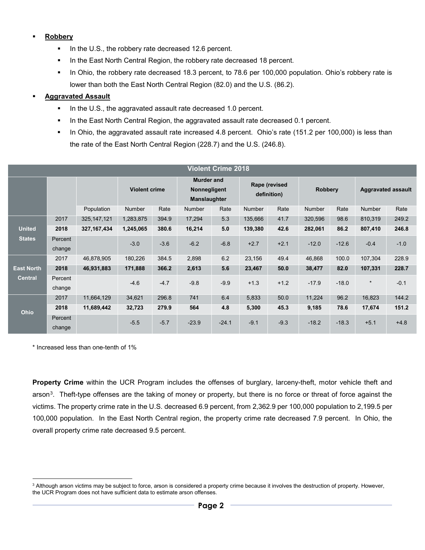#### **Robbery**

- In the U.S., the robbery rate decreased 12.6 percent.
- In the East North Central Region, the robbery rate decreased 18 percent.
- In Ohio, the robbery rate decreased 18.3 percent, to 78.6 per 100,000 population. Ohio's robbery rate is lower than both the East North Central Region (82.0) and the U.S. (86.2).

#### **Aggravated Assault**

- In the U.S., the aggravated assault rate decreased 1.0 percent.
- In the East North Central Region, the aggravated assault rate decreased 0.1 percent.
- In Ohio, the aggravated assault rate increased 4.8 percent. Ohio's rate (151.2 per 100,000) is less than the rate of the East North Central Region (228.7) and the U.S. (246.8).

| <b>Violent Crime 2018</b> |                   |               |                      |        |                                                          |         |                              |        |                |         |                           |        |
|---------------------------|-------------------|---------------|----------------------|--------|----------------------------------------------------------|---------|------------------------------|--------|----------------|---------|---------------------------|--------|
|                           |                   |               | <b>Violent crime</b> |        | <b>Murder and</b><br>Nonnegligent<br><b>Manslaughter</b> |         | Rape (revised<br>definition) |        | <b>Robbery</b> |         | <b>Aggravated assault</b> |        |
|                           |                   | Population    | <b>Number</b>        | Rate   | Number                                                   | Rate    | <b>Number</b>                | Rate   | <b>Number</b>  | Rate    | <b>Number</b>             | Rate   |
|                           | 2017              | 325, 147, 121 | 1,283,875            | 394.9  | 17,294                                                   | 5.3     | 135,666                      | 41.7   | 320,596        | 98.6    | 810,319                   | 249.2  |
| <b>United</b>             | 2018              | 327, 167, 434 | 1,245,065            | 380.6  | 16,214                                                   | 5.0     | 139,380                      | 42.6   | 282,061        | 86.2    | 807,410                   | 246.8  |
| <b>States</b>             | Percent<br>change |               | $-3.0$               | $-3.6$ | $-6.2$                                                   | $-6.8$  | $+2.7$                       | $+2.1$ | $-12.0$        | $-12.6$ | $-0.4$                    | $-1.0$ |
|                           | 2017              | 46,878,905    | 180,226              | 384.5  | 2,898                                                    | 6.2     | 23,156                       | 49.4   | 46,868         | 100.0   | 107,304                   | 228.9  |
| <b>East North</b>         | 2018              | 46,931,883    | 171,888              | 366.2  | 2,613                                                    | 5.6     | 23,467                       | 50.0   | 38,477         | 82.0    | 107,331                   | 228.7  |
| <b>Central</b>            | Percent<br>change |               | $-4.6$               | $-4.7$ | $-9.8$                                                   | $-9.9$  | $+1.3$                       | $+1.2$ | $-17.9$        | $-18.0$ | $\star$                   | $-0.1$ |
| <b>Ohio</b>               | 2017              | 11,664,129    | 34,621               | 296.8  | 741                                                      | 6.4     | 5,833                        | 50.0   | 11,224         | 96.2    | 16,823                    | 144.2  |
|                           | 2018              | 11,689,442    | 32,723               | 279.9  | 564                                                      | 4.8     | 5,300                        | 45.3   | 9,185          | 78.6    | 17,674                    | 151.2  |
|                           | Percent<br>change |               | $-5.5$               | $-5.7$ | $-23.9$                                                  | $-24.1$ | $-9.1$                       | $-9.3$ | $-18.2$        | $-18.3$ | $+5.1$                    | $+4.8$ |

\* Increased less than one-tenth of 1%

1

**Property Crime** within the UCR Program includes the offenses of burglary, larceny-theft, motor vehicle theft and arson<sup>3</sup>. Theft-type offenses are the taking of money or property, but there is no force or threat of force against the victims. The property crime rate in the U.S. decreased 6.9 percent, from 2,362.9 per 100,000 population to 2,199.5 per 100,000 population. In the East North Central region, the property crime rate decreased 7.9 percent. In Ohio, the overall property crime rate decreased 9.5 percent.

<span id="page-1-0"></span><sup>&</sup>lt;sup>3</sup> Although arson victims may be subject to force, arson is considered a property crime because it involves the destruction of property. However, the UCR Program does not have sufficient data to estimate arson offenses.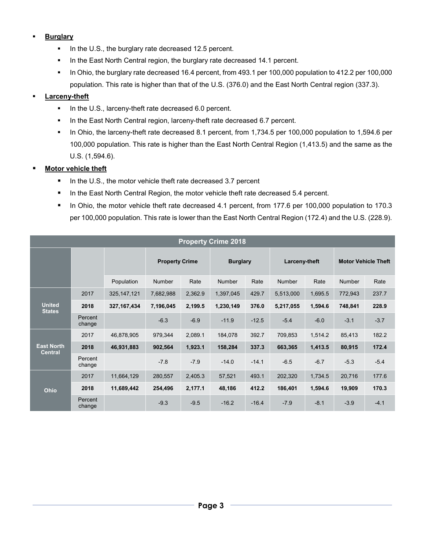## **Burglary**

- In the U.S., the burglary rate decreased 12.5 percent.
- In the East North Central region, the burglary rate decreased 14.1 percent.
- In Ohio, the burglary rate decreased 16.4 percent, from 493.1 per 100,000 population to 412.2 per 100,000 population. This rate is higher than that of the U.S. (376.0) and the East North Central region (337.3).

## **Larceny-theft**

- In the U.S., larceny-theft rate decreased 6.0 percent.
- In the East North Central region, larceny-theft rate decreased 6.7 percent.
- In Ohio, the larceny-theft rate decreased 8.1 percent, from 1,734.5 per 100,000 population to 1,594.6 per 100,000 population. This rate is higher than the East North Central Region (1,413.5) and the same as the U.S. (1,594.6).

### **Motor vehicle theft**

- In the U.S., the motor vehicle theft rate decreased 3.7 percent
- In the East North Central Region, the motor vehicle theft rate decreased 5.4 percent.
- In Ohio, the motor vehicle theft rate decreased 4.1 percent, from 177.6 per 100,000 population to 170.3 per 100,000 population. This rate is lower than the East North Central Region (172.4) and the U.S. (228.9).

| <b>Property Crime 2018</b>          |                   |               |                       |         |                 |         |               |         |                            |        |  |
|-------------------------------------|-------------------|---------------|-----------------------|---------|-----------------|---------|---------------|---------|----------------------------|--------|--|
|                                     |                   |               | <b>Property Crime</b> |         | <b>Burglary</b> |         | Larceny-theft |         | <b>Motor Vehicle Theft</b> |        |  |
|                                     |                   | Population    | <b>Number</b>         | Rate    | <b>Number</b>   | Rate    | <b>Number</b> | Rate    | Number                     | Rate   |  |
| <b>United</b><br><b>States</b>      | 2017              | 325, 147, 121 | 7,682,988             | 2,362.9 | 1,397,045       | 429.7   | 5,513,000     | 1,695.5 | 772,943                    | 237.7  |  |
|                                     | 2018              | 327, 167, 434 | 7,196,045             | 2,199.5 | 1,230,149       | 376.0   | 5,217,055     | 1,594.6 | 748,841                    | 228.9  |  |
|                                     | Percent<br>change |               | $-6.3$                | $-6.9$  | $-11.9$         | $-12.5$ | $-5.4$        | $-6.0$  | $-3.1$                     | $-3.7$ |  |
| <b>East North</b><br><b>Central</b> | 2017              | 46,878,905    | 979,344               | 2,089.1 | 184,078         | 392.7   | 709,853       | 1,514.2 | 85,413                     | 182.2  |  |
|                                     | 2018              | 46,931,883    | 902,564               | 1,923.1 | 158,284         | 337.3   | 663,365       | 1,413.5 | 80,915                     | 172.4  |  |
|                                     | Percent<br>change |               | $-7.8$                | $-7.9$  | $-14.0$         | $-14.1$ | $-6.5$        | $-6.7$  | $-5.3$                     | $-5.4$ |  |
| Ohio                                | 2017              | 11,664,129    | 280,557               | 2,405.3 | 57,521          | 493.1   | 202,320       | 1,734.5 | 20,716                     | 177.6  |  |
|                                     | 2018              | 11,689,442    | 254,496               | 2,177.1 | 48,186          | 412.2   | 186,401       | 1,594.6 | 19,909                     | 170.3  |  |
|                                     | Percent<br>change |               | $-9.3$                | $-9.5$  | $-16.2$         | $-16.4$ | $-7.9$        | $-8.1$  | $-3.9$                     | $-4.1$ |  |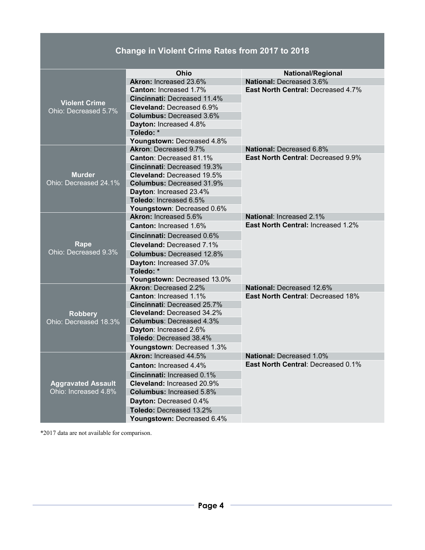# **Change in Violent Crime Rates from 2017 to 2018**

|                           | Ohio                               | National/Regional                         |  |  |  |  |
|---------------------------|------------------------------------|-------------------------------------------|--|--|--|--|
|                           | Akron: Increased 23.6%             | National: Decreased 3.6%                  |  |  |  |  |
|                           | Canton: Increased 1.7%             | <b>East North Central: Decreased 4.7%</b> |  |  |  |  |
| <b>Violent Crime</b>      | <b>Cincinnati: Decreased 11.4%</b> |                                           |  |  |  |  |
| Ohio: Decreased 5.7%      | Cleveland: Decreased 6.9%          |                                           |  |  |  |  |
|                           | <b>Columbus: Decreased 3.6%</b>    |                                           |  |  |  |  |
|                           | Dayton: Increased 4.8%             |                                           |  |  |  |  |
|                           | Toledo: *                          |                                           |  |  |  |  |
|                           | Youngstown: Decreased 4.8%         |                                           |  |  |  |  |
|                           | <b>Akron: Decreased 9.7%</b>       | <b>National: Decreased 6.8%</b>           |  |  |  |  |
|                           | <b>Canton: Decreased 81.1%</b>     | <b>East North Central: Decreased 9.9%</b> |  |  |  |  |
|                           | <b>Cincinnati: Decreased 19.3%</b> |                                           |  |  |  |  |
| <b>Murder</b>             | Cleveland: Decreased 19.5%         |                                           |  |  |  |  |
| Ohio: Decreased 24.1%     | <b>Columbus: Decreased 31.9%</b>   |                                           |  |  |  |  |
|                           | Dayton: Increased 23.4%            |                                           |  |  |  |  |
|                           | Toledo: Increased 6.5%             |                                           |  |  |  |  |
|                           | Youngstown: Decreased 0.6%         |                                           |  |  |  |  |
|                           | <b>Akron: Increased 5.6%</b>       | <b>National: Increased 2.1%</b>           |  |  |  |  |
|                           | <b>Canton: Increased 1.6%</b>      | <b>East North Central: Increased 1.2%</b> |  |  |  |  |
|                           | Cincinnati: Decreased 0.6%         |                                           |  |  |  |  |
| Rape                      | <b>Cleveland: Decreased 7.1%</b>   |                                           |  |  |  |  |
| Ohio: Decreased 9.3%      | <b>Columbus: Decreased 12.8%</b>   |                                           |  |  |  |  |
|                           | Dayton: Increased 37.0%            |                                           |  |  |  |  |
|                           | Toledo: *                          |                                           |  |  |  |  |
|                           | Youngstown: Decreased 13.0%        |                                           |  |  |  |  |
|                           | <b>Akron: Decreased 2.2%</b>       | National: Decreased 12.6%                 |  |  |  |  |
|                           | <b>Canton: Increased 1.1%</b>      | <b>East North Central: Decreased 18%</b>  |  |  |  |  |
|                           | <b>Cincinnati: Decreased 25.7%</b> |                                           |  |  |  |  |
| <b>Robbery</b>            | <b>Cleveland: Decreased 34.2%</b>  |                                           |  |  |  |  |
| Ohio: Decreased 18.3%     | <b>Columbus: Decreased 4.3%</b>    |                                           |  |  |  |  |
|                           | Dayton: Increased 2.6%             |                                           |  |  |  |  |
|                           | Toledo: Decreased 38.4%            |                                           |  |  |  |  |
|                           | Youngstown: Decreased 1.3%         |                                           |  |  |  |  |
|                           | <b>Akron: Increased 44.5%</b>      | <b>National: Decreased 1.0%</b>           |  |  |  |  |
|                           | <b>Canton: Increased 4.4%</b>      | <b>East North Central: Decreased 0.1%</b> |  |  |  |  |
|                           | <b>Cincinnati: Increased 0.1%</b>  |                                           |  |  |  |  |
| <b>Aggravated Assault</b> | Cleveland: Increased 20.9%         |                                           |  |  |  |  |
| Ohio: Increased 4.8%      | <b>Columbus: Increased 5.8%</b>    |                                           |  |  |  |  |
|                           | Dayton: Decreased 0.4%             |                                           |  |  |  |  |
|                           | Toledo: Decreased 13.2%            |                                           |  |  |  |  |
|                           | Youngstown: Decreased 6.4%         |                                           |  |  |  |  |

\*2017 data are not available for comparison.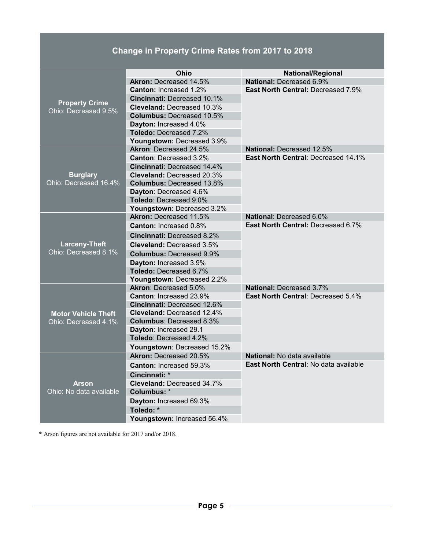# **Change in Property Crime Rates from 2017 to 2018**

|                                               | Ohio                                                                    | <b>National/Regional</b>                   |  |  |  |
|-----------------------------------------------|-------------------------------------------------------------------------|--------------------------------------------|--|--|--|
|                                               | <b>Akron: Decreased 14.5%</b>                                           | National: Decreased 6.9%                   |  |  |  |
|                                               | <b>Canton: Increased 1.2%</b>                                           | <b>East North Central: Decreased 7.9%</b>  |  |  |  |
|                                               | <b>Cincinnati: Decreased 10.1%</b>                                      |                                            |  |  |  |
| <b>Property Crime</b><br>Ohio: Decreased 9.5% | <b>Cleveland: Decreased 10.3%</b>                                       |                                            |  |  |  |
|                                               | <b>Columbus: Decreased 10.5%</b>                                        |                                            |  |  |  |
|                                               | Dayton: Increased 4.0%                                                  |                                            |  |  |  |
|                                               | <b>Toledo: Decreased 7.2%</b>                                           |                                            |  |  |  |
|                                               | Youngstown: Decreased 3.9%                                              |                                            |  |  |  |
|                                               | Akron: Decreased 24.5%                                                  | <b>National: Decreased 12.5%</b>           |  |  |  |
|                                               | <b>Canton: Decreased 3.2%</b>                                           | <b>East North Central: Decreased 14.1%</b> |  |  |  |
|                                               | <b>Cincinnati: Decreased 14.4%</b>                                      |                                            |  |  |  |
| <b>Burglary</b>                               | <b>Cleveland: Decreased 20.3%</b>                                       |                                            |  |  |  |
| Ohio: Decreased 16.4%                         | <b>Columbus: Decreased 13.8%</b>                                        |                                            |  |  |  |
|                                               | Dayton: Decreased 4.6%                                                  |                                            |  |  |  |
|                                               | <b>Toledo: Decreased 9.0%</b>                                           |                                            |  |  |  |
|                                               | Youngstown: Decreased 3.2%                                              |                                            |  |  |  |
|                                               | Akron: Decreased 11.5%                                                  | <b>National: Decreased 6.0%</b>            |  |  |  |
|                                               | Canton: Increased 0.8%                                                  | <b>East North Central: Decreased 6.7%</b>  |  |  |  |
|                                               | <b>Cincinnati: Decreased 8.2%</b>                                       |                                            |  |  |  |
| <b>Larceny-Theft</b>                          | <b>Cleveland: Decreased 3.5%</b>                                        |                                            |  |  |  |
| Ohio: Decreased 8.1%                          | <b>Columbus: Decreased 9.9%</b>                                         |                                            |  |  |  |
|                                               | Dayton: Increased 3.9%                                                  |                                            |  |  |  |
|                                               | Toledo: Decreased 6.7%                                                  |                                            |  |  |  |
|                                               | Youngstown: Decreased 2.2%                                              |                                            |  |  |  |
|                                               | <b>Akron: Decreased 5.0%</b>                                            | <b>National: Decreased 3.7%</b>            |  |  |  |
|                                               | Canton: Increased 23.9%                                                 | East North Central: Decreased 5.4%         |  |  |  |
|                                               | <b>Cincinnati: Decreased 12.6%</b>                                      |                                            |  |  |  |
| <b>Motor Vehicle Theft</b>                    | <b>Cleveland: Decreased 12.4%</b>                                       |                                            |  |  |  |
| Ohio: Decreased 4.1%                          | <b>Columbus: Decreased 8.3%</b>                                         |                                            |  |  |  |
|                                               | Dayton: Increased 29.1                                                  |                                            |  |  |  |
|                                               | Toledo: Decreased 4.2%                                                  |                                            |  |  |  |
|                                               | Youngstown: Decreased 15.2%                                             |                                            |  |  |  |
|                                               | <b>Akron: Decreased 20.5%</b>                                           | <b>National:</b> No data available         |  |  |  |
|                                               | <b>East North Central: No data available</b><br>Canton: Increased 59.3% |                                            |  |  |  |
|                                               | Cincinnati: *                                                           |                                            |  |  |  |
| <b>Arson</b>                                  | <b>Cleveland: Decreased 34.7%</b>                                       |                                            |  |  |  |
| Ohio: No data available                       | Columbus: *                                                             |                                            |  |  |  |
|                                               | Dayton: Increased 69.3%                                                 |                                            |  |  |  |
|                                               | Toledo: *                                                               |                                            |  |  |  |
|                                               | Youngstown: Increased 56.4%                                             |                                            |  |  |  |

\* Arson figures are not available for 2017 and/or 2018.